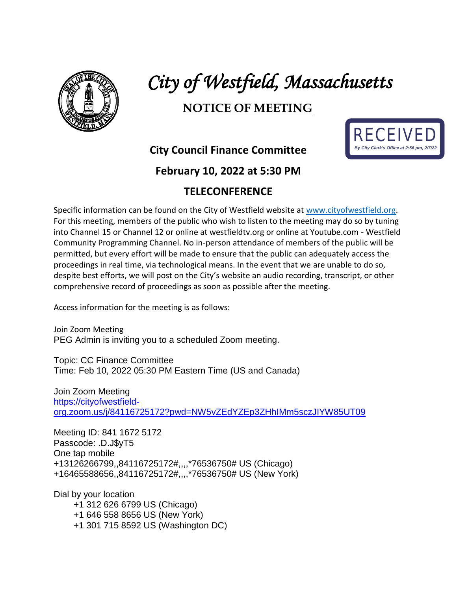

# *City of Westfield, Massachusetts*

## **NOTICE OF MEETING**



**City Council Finance Committee**

#### **February 10, 2022 at 5:30 PM**

### **TELECONFERENCE**

Specific information can be found on the City of Westfield website at [www.cityofwestfield.org.](http://www.cityofwestfield.org/) For this meeting, members of the public who wish to listen to the meeting may do so by tuning into Channel 15 or Channel 12 or online at westfieldtv.org or online at Youtube.com - Westfield Community Programming Channel. No in-person attendance of members of the public will be permitted, but every effort will be made to ensure that the public can adequately access the proceedings in real time, via technological means. In the event that we are unable to do so, despite best efforts, we will post on the City's website an audio recording, transcript, or other comprehensive record of proceedings as soon as possible after the meeting.

Access information for the meeting is as follows:

Join Zoom Meeting PEG Admin is inviting you to a scheduled Zoom meeting.

Topic: CC Finance Committee Time: Feb 10, 2022 05:30 PM Eastern Time (US and Canada)

Join Zoom Meeting [https://cityofwestfield](https://cityofwestfield-org.zoom.us/j/84116725172?pwd=NW5vZEdYZEp3ZHhIMm5sczJIYW85UT09)[org.zoom.us/j/84116725172?pwd=NW5vZEdYZEp3ZHhIMm5sczJIYW85UT09](https://cityofwestfield-org.zoom.us/j/84116725172?pwd=NW5vZEdYZEp3ZHhIMm5sczJIYW85UT09)

Meeting ID: 841 1672 5172 Passcode: .D.J\$yT5 One tap mobile +13126266799,,84116725172#,,,,\*76536750# US (Chicago) +16465588656,,84116725172#,,,,\*76536750# US (New York)

Dial by your location +1 312 626 6799 US (Chicago) +1 646 558 8656 US (New York) +1 301 715 8592 US (Washington DC)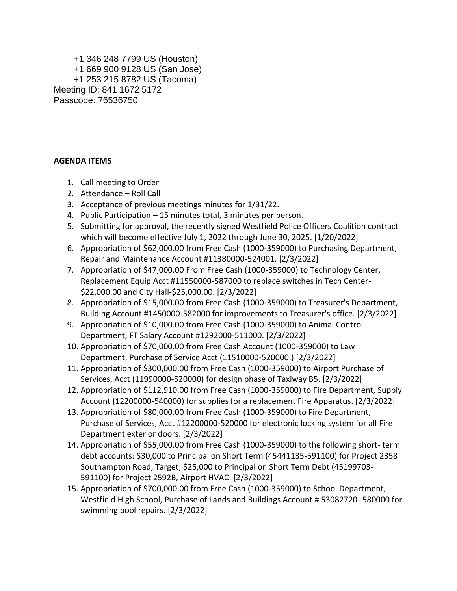+1 346 248 7799 US (Houston) +1 669 900 9128 US (San Jose) +1 253 215 8782 US (Tacoma) Meeting ID: 841 1672 5172 Passcode: 76536750

#### **AGENDA ITEMS**

- 1. Call meeting to Order
- 2. Attendance Roll Call
- 3. Acceptance of previous meetings minutes for 1/31/22.
- 4. Public Participation 15 minutes total, 3 minutes per person.
- 5. Submitting for approval, the recently signed Westfield Police Officers Coalition contract which will become effective July 1, 2022 through June 30, 2025. [1/20/2022]
- 6. Appropriation of \$62,000.00 from Free Cash (1000-359000) to Purchasing Department, Repair and Maintenance Account #11380000-524001. [2/3/2022]
- 7. Appropriation of \$47,000.00 From Free Cash (1000-359000) to Technology Center, Replacement Equip Acct #11550000-587000 to replace switches in Tech Center- \$22,000.00 and City Hall-\$25,000.00. [2/3/2022]
- 8. Appropriation of \$15,000.00 from Free Cash (1000-359000) to Treasurer's Department, Building Account #1450000-582000 for improvements to Treasurer's office. [2/3/2022]
- 9. Appropriation of \$10,000.00 from Free Cash (1000-359000) to Animal Control Department, FT Salary Account #1292000-511000. [2/3/2022]
- 10. Appropriation of \$70,000.00 from Free Cash Account (1000-359000) to Law Department, Purchase of Service Acct (11510000-520000.) [2/3/2022]
- 11. Appropriation of \$300,000.00 from Free Cash (1000-359000) to Airport Purchase of Services, Acct (11990000-520000) for design phase of Taxiway B5. [2/3/2022]
- 12. Appropriation of \$112,910.00 from Free Cash (1000-359000) to Fire Department, Supply Account (12200000-540000) for supplies for a replacement Fire Apparatus. [2/3/2022]
- 13. Appropriation of \$80,000.00 from Free Cash (1000-359000) to Fire Department, Purchase of Services, Acct #12200000-520000 for electronic locking system for all Fire Department exterior doors. [2/3/2022]
- 14. Appropriation of \$55,000.00 from Free Cash (1000-359000) to the following short- term debt accounts: \$30,000 to Principal on Short Term (45441135-591100) for Project 2358 Southampton Road, Target; \$25,000 to Principal on Short Term Debt (45199703- 591100) for Project 2592B, Airport HVAC. [2/3/2022]
- 15. Appropriation of \$700,000.00 from Free Cash (1000-359000) to School Department, Westfield High School, Purchase of Lands and Buildings Account # 53082720- 580000 for swimming pool repairs. [2/3/2022]